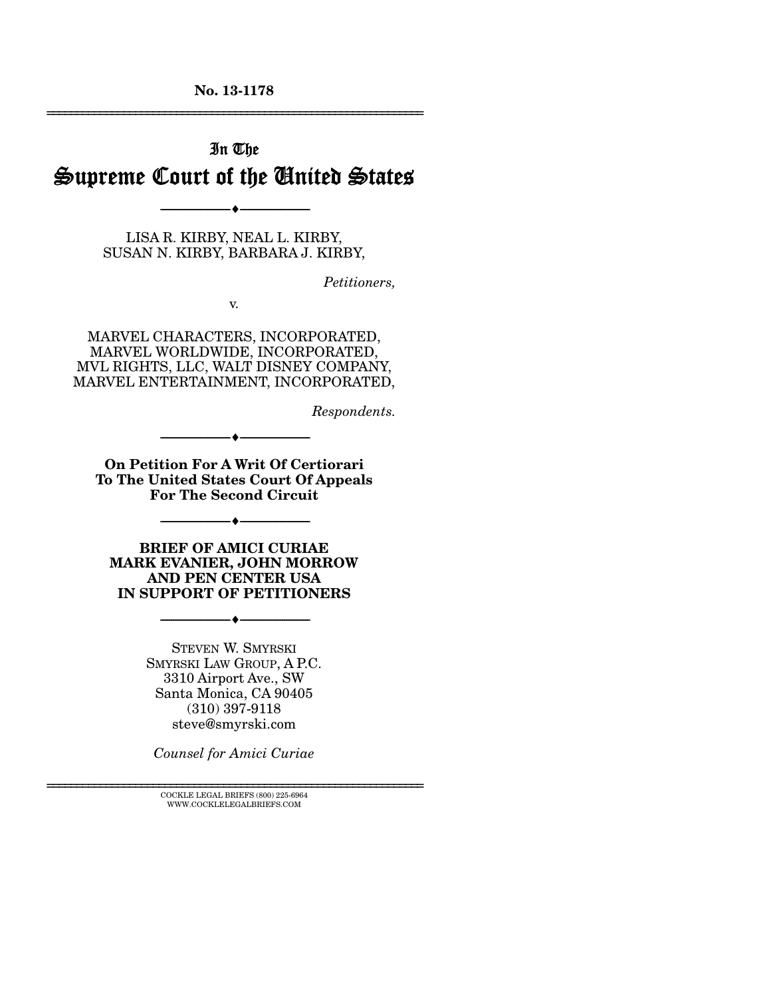**No. 13-1178**  ================================================================

# In The Supreme Court of the United States

LISA R. KIRBY, NEAL L. KIRBY, SUSAN N. KIRBY, BARBARA J. KIRBY,

--------------------------------- ---------------------------------

*Petitioners,* 

v.

MARVEL CHARACTERS, INCORPORATED, MARVEL WORLDWIDE, INCORPORATED, MVL RIGHTS, LLC, WALT DISNEY COMPANY, MARVEL ENTERTAINMENT, INCORPORATED,

*Respondents.* 

**On Petition For A Writ Of Certiorari To The United States Court Of Appeals For The Second Circuit**

 $\bullet$   $-$ 

--------------------------------- ---------------------------------

**BRIEF OF AMICI CURIAE MARK EVANIER, JOHN MORROW AND PEN CENTER USA IN SUPPORT OF PETITIONERS**

--------------------------------- ---------------------------------

STEVEN W. SMYRSKI SMYRSKI LAW GROUP, A P.C. 3310 Airport Ave., SW Santa Monica, CA 90405 (310) 397-9118 steve@smyrski.com

*Counsel for Amici Curiae* 

 $\textsc{COCKLE}$  LEGAL BRIEFS (800) 225-6964 WWW.COCKLELEGALBRIEFS.COM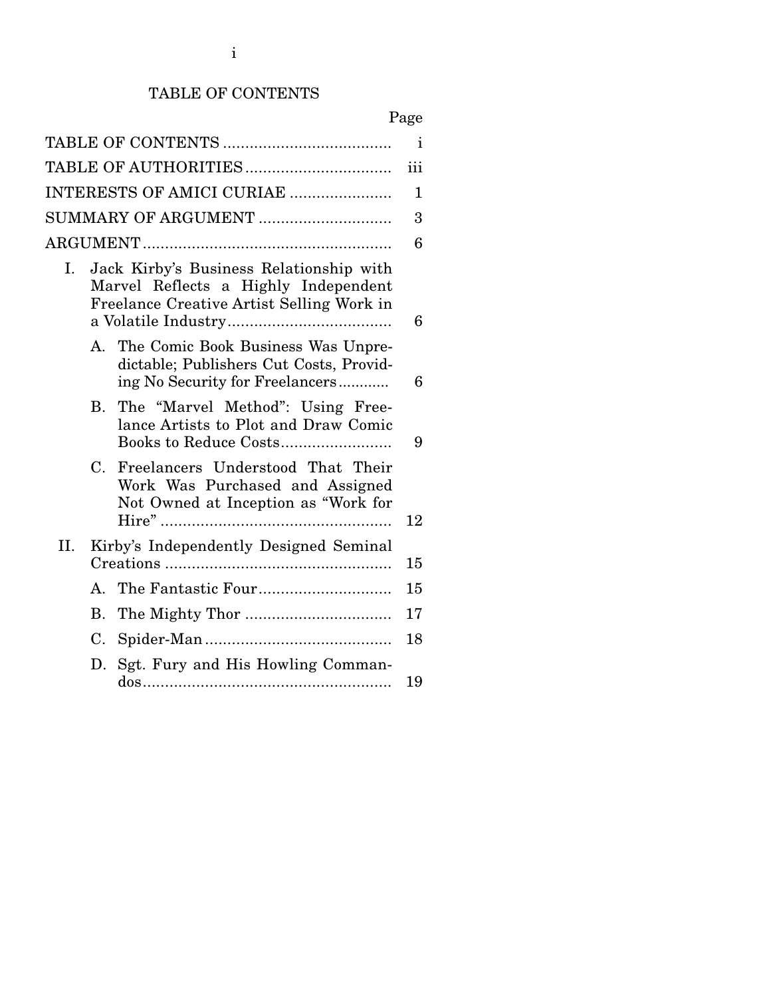### TABLE OF CONTENTS

|--|

| $\mathbf{i}$                   |                                                                                                                              |                                                                                                             |    |  |  |  |
|--------------------------------|------------------------------------------------------------------------------------------------------------------------------|-------------------------------------------------------------------------------------------------------------|----|--|--|--|
| iii                            |                                                                                                                              |                                                                                                             |    |  |  |  |
| INTERESTS OF AMICI CURIAE<br>1 |                                                                                                                              |                                                                                                             |    |  |  |  |
| SUMMARY OF ARGUMENT            |                                                                                                                              |                                                                                                             |    |  |  |  |
|                                |                                                                                                                              |                                                                                                             |    |  |  |  |
| Ι.                             | Jack Kirby's Business Relationship with<br>Marvel Reflects a Highly Independent<br>Freelance Creative Artist Selling Work in |                                                                                                             |    |  |  |  |
|                                | А.                                                                                                                           | The Comic Book Business Was Unpre-                                                                          | 6  |  |  |  |
|                                |                                                                                                                              | dictable; Publishers Cut Costs, Provid-<br>ing No Security for Freelancers                                  | 6  |  |  |  |
|                                | B.                                                                                                                           | The "Marvel Method": Using Free-<br>lance Artists to Plot and Draw Comic                                    | 9  |  |  |  |
|                                | C.                                                                                                                           | Freelancers Understood That Their<br>Work Was Purchased and Assigned<br>Not Owned at Inception as "Work for | 12 |  |  |  |
| II.                            | Kirby's Independently Designed Seminal                                                                                       |                                                                                                             |    |  |  |  |
|                                | A.                                                                                                                           |                                                                                                             | 15 |  |  |  |
|                                | Β.                                                                                                                           |                                                                                                             | 17 |  |  |  |
|                                | C.                                                                                                                           |                                                                                                             | 18 |  |  |  |
|                                | D.                                                                                                                           | Sgt. Fury and His Howling Comman-                                                                           | 19 |  |  |  |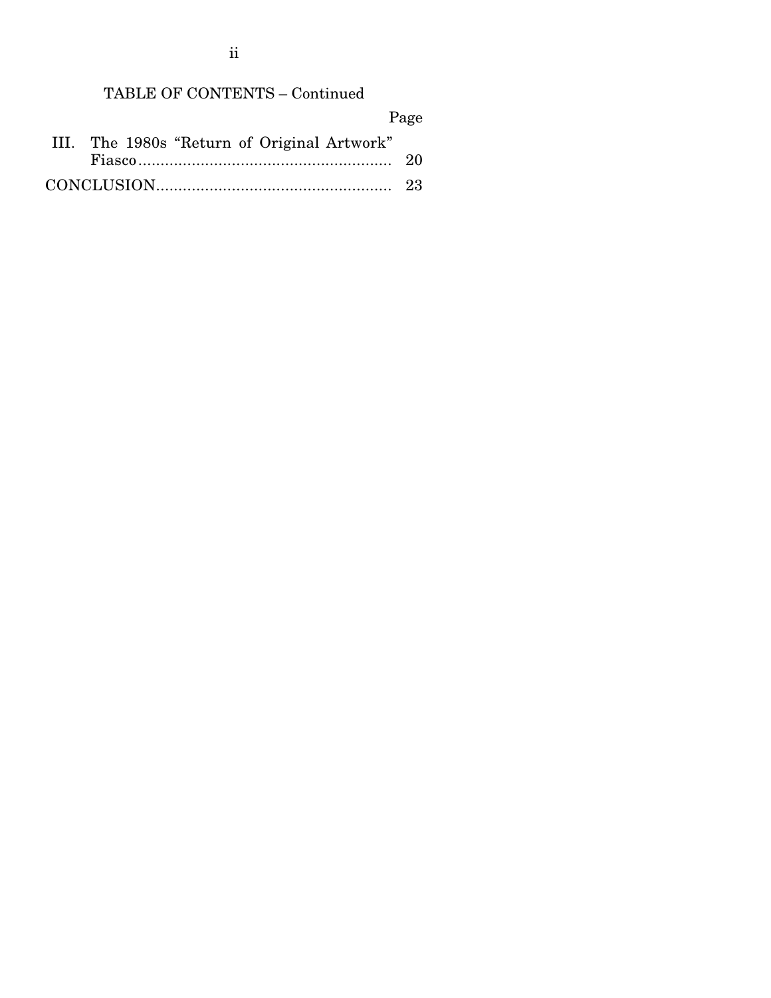ii

## TABLE OF CONTENTS – Continued

|  |                                             |  | Page |  |
|--|---------------------------------------------|--|------|--|
|  | III. The 1980s "Return of Original Artwork" |  |      |  |
|  |                                             |  |      |  |
|  |                                             |  |      |  |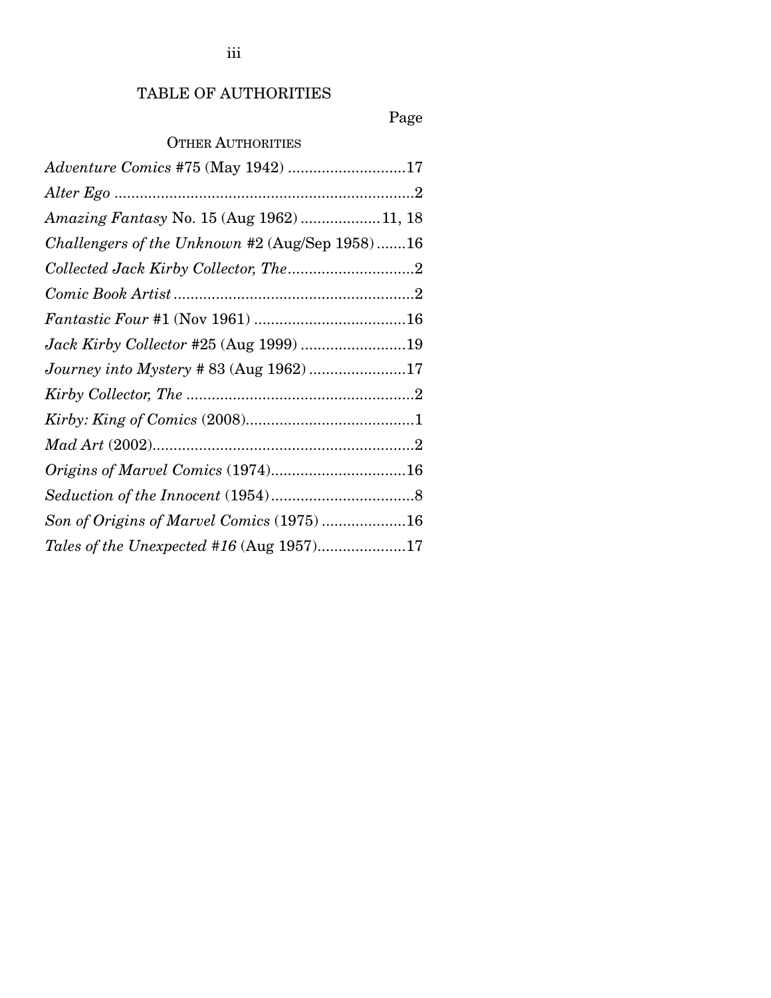## TABLE OF AUTHORITIES

## Page

## OTHER AUTHORITIES

| <i>Adventure Comics</i> #75 (May 1942) 17      |  |
|------------------------------------------------|--|
|                                                |  |
| Amazing Fantasy No. 15 (Aug 1962)  11, 18      |  |
| Challengers of the Unknown #2 (Aug/Sep 1958)16 |  |
|                                                |  |
|                                                |  |
|                                                |  |
| Jack Kirby Collector #25 (Aug 1999) 19         |  |
| Journey into Mystery # 83 (Aug 1962) 17        |  |
|                                                |  |
|                                                |  |
|                                                |  |
| Origins of Marvel Comics (1974)16              |  |
|                                                |  |
| Son of Origins of Marvel Comics (1975) 16      |  |
| Tales of the Unexpected #16 (Aug 1957)17       |  |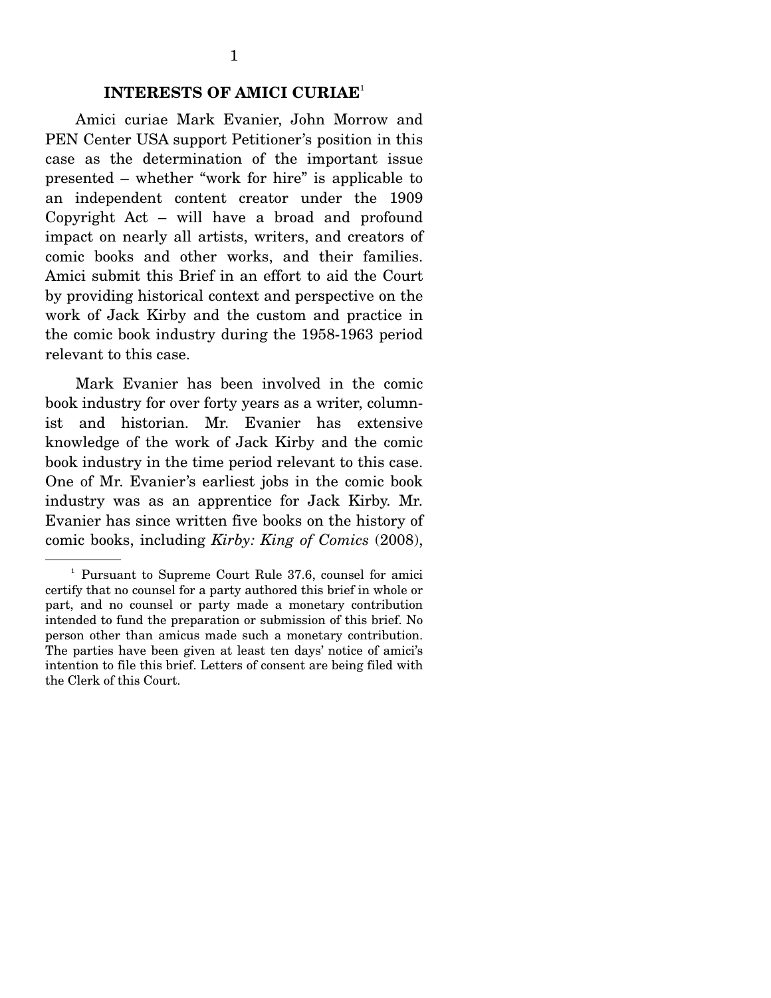#### **INTERESTS OF AMICI CURIAE**<sup>1</sup>

 Amici curiae Mark Evanier, John Morrow and PEN Center USA support Petitioner's position in this case as the determination of the important issue presented – whether "work for hire" is applicable to an independent content creator under the 1909 Copyright Act – will have a broad and profound impact on nearly all artists, writers, and creators of comic books and other works, and their families. Amici submit this Brief in an effort to aid the Court by providing historical context and perspective on the work of Jack Kirby and the custom and practice in the comic book industry during the 1958-1963 period relevant to this case.

 Mark Evanier has been involved in the comic book industry for over forty years as a writer, columnist and historian. Mr. Evanier has extensive knowledge of the work of Jack Kirby and the comic book industry in the time period relevant to this case. One of Mr. Evanier's earliest jobs in the comic book industry was as an apprentice for Jack Kirby. Mr. Evanier has since written five books on the history of comic books, including *Kirby: King of Comics* (2008),

<sup>&</sup>lt;sup>1</sup> Pursuant to Supreme Court Rule 37.6, counsel for amici certify that no counsel for a party authored this brief in whole or part, and no counsel or party made a monetary contribution intended to fund the preparation or submission of this brief. No person other than amicus made such a monetary contribution. The parties have been given at least ten days' notice of amici's intention to file this brief. Letters of consent are being filed with the Clerk of this Court.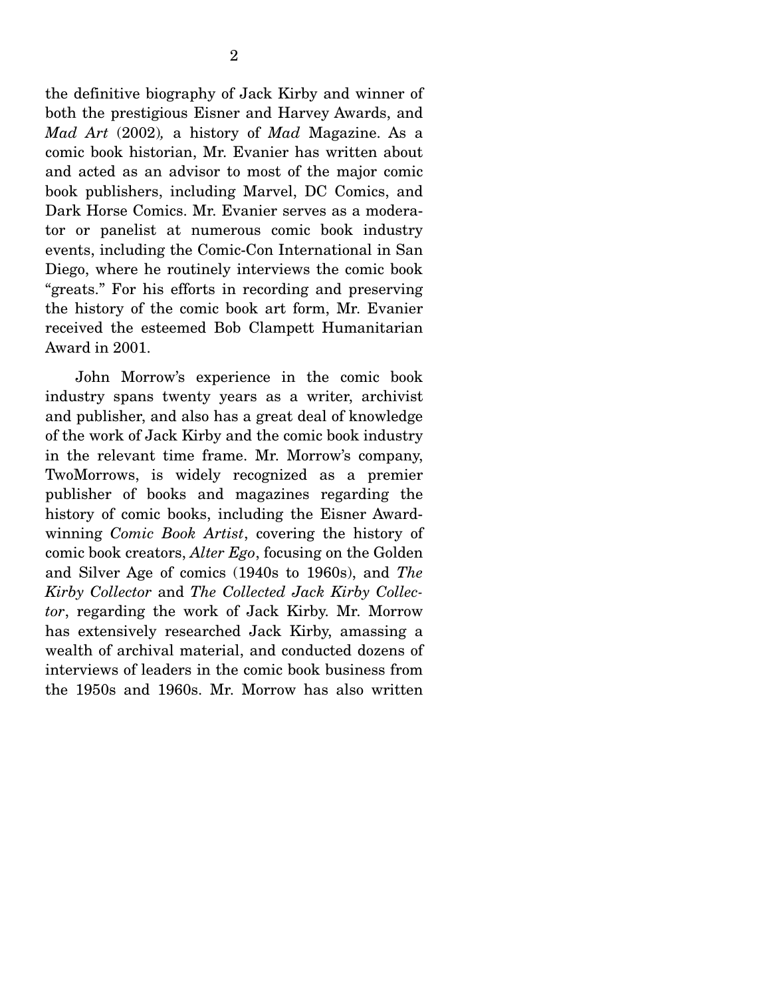the definitive biography of Jack Kirby and winner of both the prestigious Eisner and Harvey Awards, and *Mad Art* (2002)*,* a history of *Mad* Magazine. As a comic book historian, Mr. Evanier has written about and acted as an advisor to most of the major comic book publishers, including Marvel, DC Comics, and Dark Horse Comics. Mr. Evanier serves as a moderator or panelist at numerous comic book industry events, including the Comic-Con International in San Diego, where he routinely interviews the comic book "greats." For his efforts in recording and preserving the history of the comic book art form, Mr. Evanier received the esteemed Bob Clampett Humanitarian Award in 2001.

 John Morrow's experience in the comic book industry spans twenty years as a writer, archivist and publisher, and also has a great deal of knowledge of the work of Jack Kirby and the comic book industry in the relevant time frame. Mr. Morrow's company, TwoMorrows, is widely recognized as a premier publisher of books and magazines regarding the history of comic books, including the Eisner Awardwinning *Comic Book Artist*, covering the history of comic book creators, *Alter Ego*, focusing on the Golden and Silver Age of comics (1940s to 1960s), and *The Kirby Collector* and *The Collected Jack Kirby Collector*, regarding the work of Jack Kirby. Mr. Morrow has extensively researched Jack Kirby, amassing a wealth of archival material, and conducted dozens of interviews of leaders in the comic book business from the 1950s and 1960s. Mr. Morrow has also written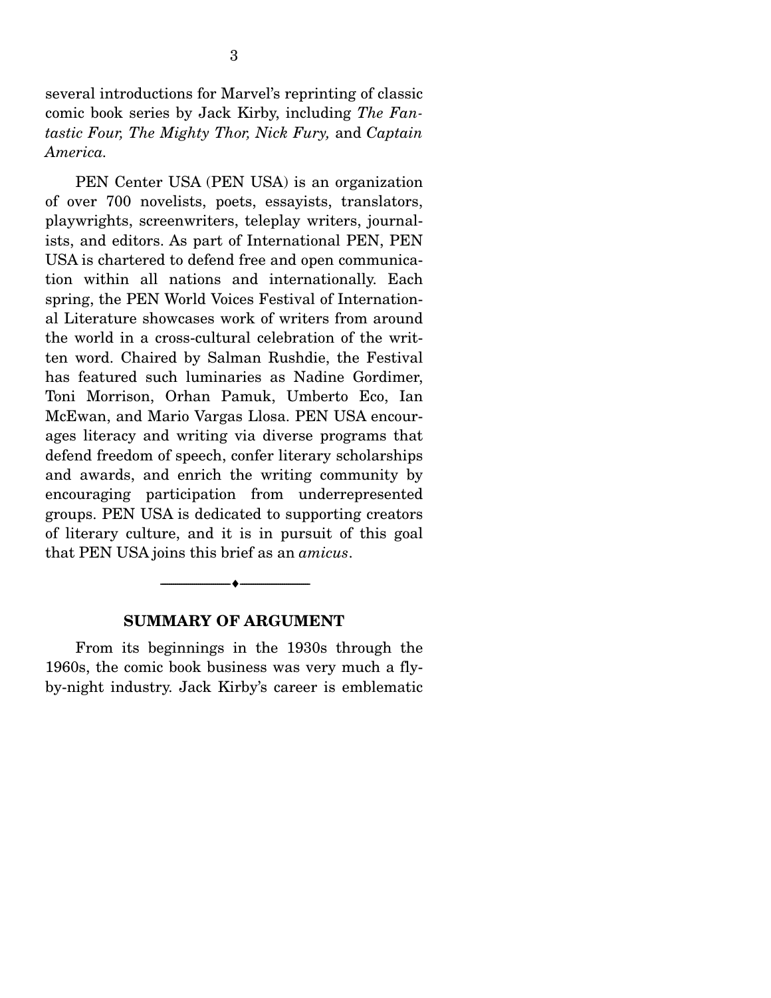several introductions for Marvel's reprinting of classic comic book series by Jack Kirby, including *The Fantastic Four, The Mighty Thor, Nick Fury,* and *Captain America.* 

 PEN Center USA (PEN USA) is an organization of over 700 novelists, poets, essayists, translators, playwrights, screenwriters, teleplay writers, journalists, and editors. As part of International PEN, PEN USA is chartered to defend free and open communication within all nations and internationally. Each spring, the PEN World Voices Festival of International Literature showcases work of writers from around the world in a cross-cultural celebration of the written word. Chaired by Salman Rushdie, the Festival has featured such luminaries as Nadine Gordimer, Toni Morrison, Orhan Pamuk, Umberto Eco, Ian McEwan, and Mario Vargas Llosa. PEN USA encourages literacy and writing via diverse programs that defend freedom of speech, confer literary scholarships and awards, and enrich the writing community by encouraging participation from underrepresented groups. PEN USA is dedicated to supporting creators of literary culture, and it is in pursuit of this goal that PEN USA joins this brief as an *amicus*.

#### **SUMMARY OF ARGUMENT**

--------------------------------- ---------------------------------

 From its beginnings in the 1930s through the 1960s, the comic book business was very much a flyby-night industry. Jack Kirby's career is emblematic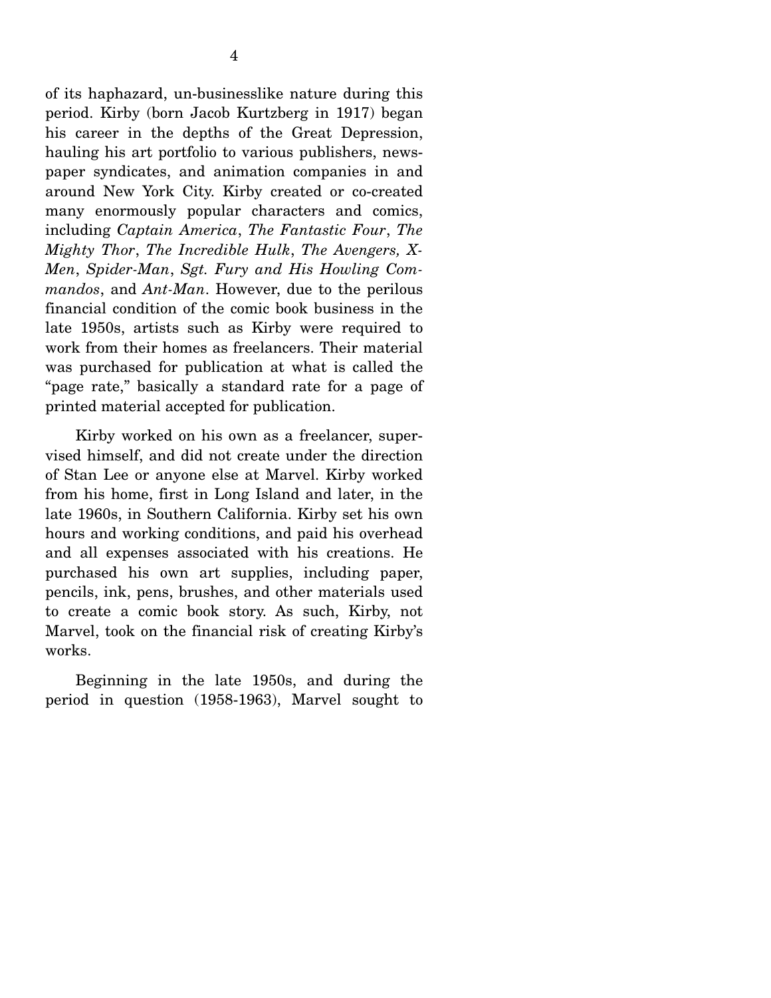of its haphazard, un-businesslike nature during this period. Kirby (born Jacob Kurtzberg in 1917) began his career in the depths of the Great Depression, hauling his art portfolio to various publishers, newspaper syndicates, and animation companies in and around New York City. Kirby created or co-created many enormously popular characters and comics, including *Captain America*, *The Fantastic Four*, *The Mighty Thor*, *The Incredible Hulk*, *The Avengers, X-Men*, *Spider-Man*, *Sgt. Fury and His Howling Commandos*, and *Ant-Man*. However, due to the perilous financial condition of the comic book business in the late 1950s, artists such as Kirby were required to work from their homes as freelancers. Their material was purchased for publication at what is called the "page rate," basically a standard rate for a page of printed material accepted for publication.

 Kirby worked on his own as a freelancer, supervised himself, and did not create under the direction of Stan Lee or anyone else at Marvel. Kirby worked from his home, first in Long Island and later, in the late 1960s, in Southern California. Kirby set his own hours and working conditions, and paid his overhead and all expenses associated with his creations. He purchased his own art supplies, including paper, pencils, ink, pens, brushes, and other materials used to create a comic book story. As such, Kirby, not Marvel, took on the financial risk of creating Kirby's works.

 Beginning in the late 1950s, and during the period in question (1958-1963), Marvel sought to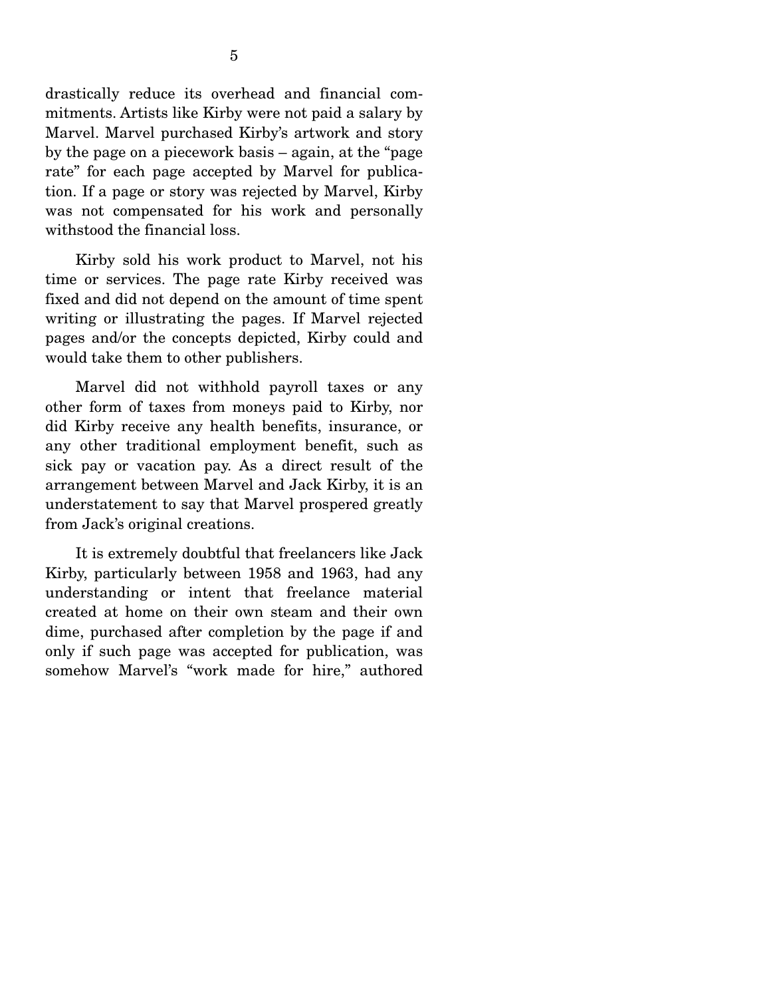drastically reduce its overhead and financial commitments. Artists like Kirby were not paid a salary by Marvel. Marvel purchased Kirby's artwork and story by the page on a piecework basis – again, at the "page rate" for each page accepted by Marvel for publication. If a page or story was rejected by Marvel, Kirby was not compensated for his work and personally withstood the financial loss.

 Kirby sold his work product to Marvel, not his time or services. The page rate Kirby received was fixed and did not depend on the amount of time spent writing or illustrating the pages. If Marvel rejected pages and/or the concepts depicted, Kirby could and would take them to other publishers.

 Marvel did not withhold payroll taxes or any other form of taxes from moneys paid to Kirby, nor did Kirby receive any health benefits, insurance, or any other traditional employment benefit, such as sick pay or vacation pay. As a direct result of the arrangement between Marvel and Jack Kirby, it is an understatement to say that Marvel prospered greatly from Jack's original creations.

 It is extremely doubtful that freelancers like Jack Kirby, particularly between 1958 and 1963, had any understanding or intent that freelance material created at home on their own steam and their own dime, purchased after completion by the page if and only if such page was accepted for publication, was somehow Marvel's "work made for hire," authored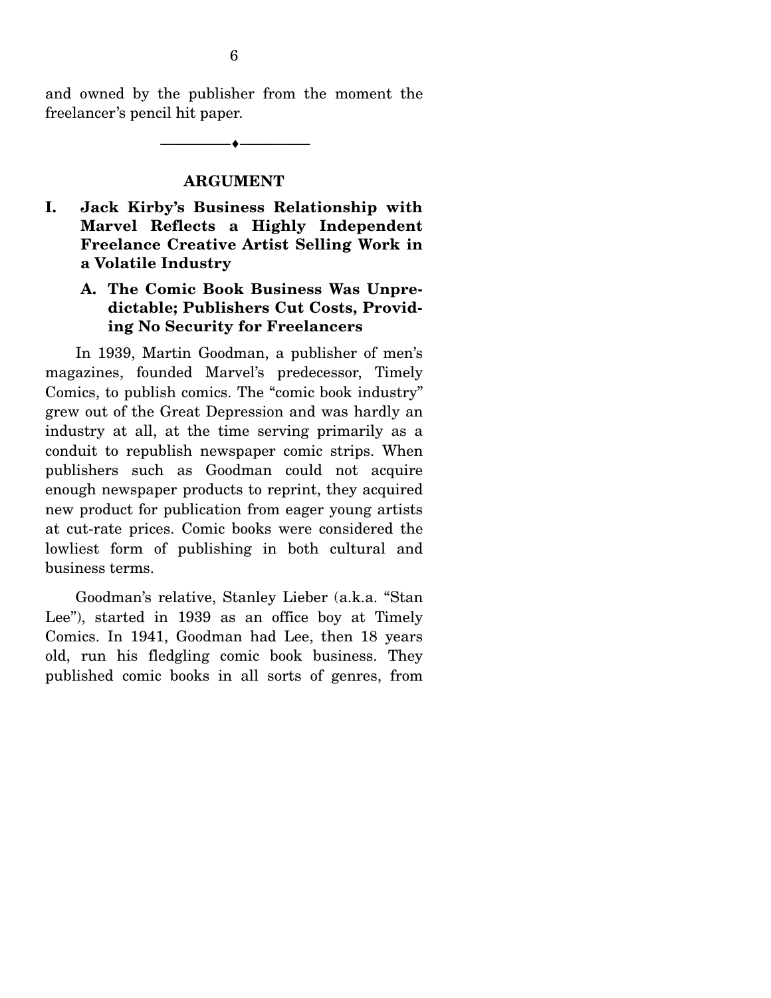and owned by the publisher from the moment the freelancer's pencil hit paper.

--------------------------------- ---------------------------------

#### **ARGUMENT**

**I. Jack Kirby's Business Relationship with Marvel Reflects a Highly Independent Freelance Creative Artist Selling Work in a Volatile Industry** 

#### **A. The Comic Book Business Was Unpredictable; Publishers Cut Costs, Providing No Security for Freelancers**

 In 1939, Martin Goodman, a publisher of men's magazines, founded Marvel's predecessor, Timely Comics, to publish comics. The "comic book industry" grew out of the Great Depression and was hardly an industry at all, at the time serving primarily as a conduit to republish newspaper comic strips. When publishers such as Goodman could not acquire enough newspaper products to reprint, they acquired new product for publication from eager young artists at cut-rate prices. Comic books were considered the lowliest form of publishing in both cultural and business terms.

 Goodman's relative, Stanley Lieber (a.k.a. "Stan Lee"), started in 1939 as an office boy at Timely Comics. In 1941, Goodman had Lee, then 18 years old, run his fledgling comic book business. They published comic books in all sorts of genres, from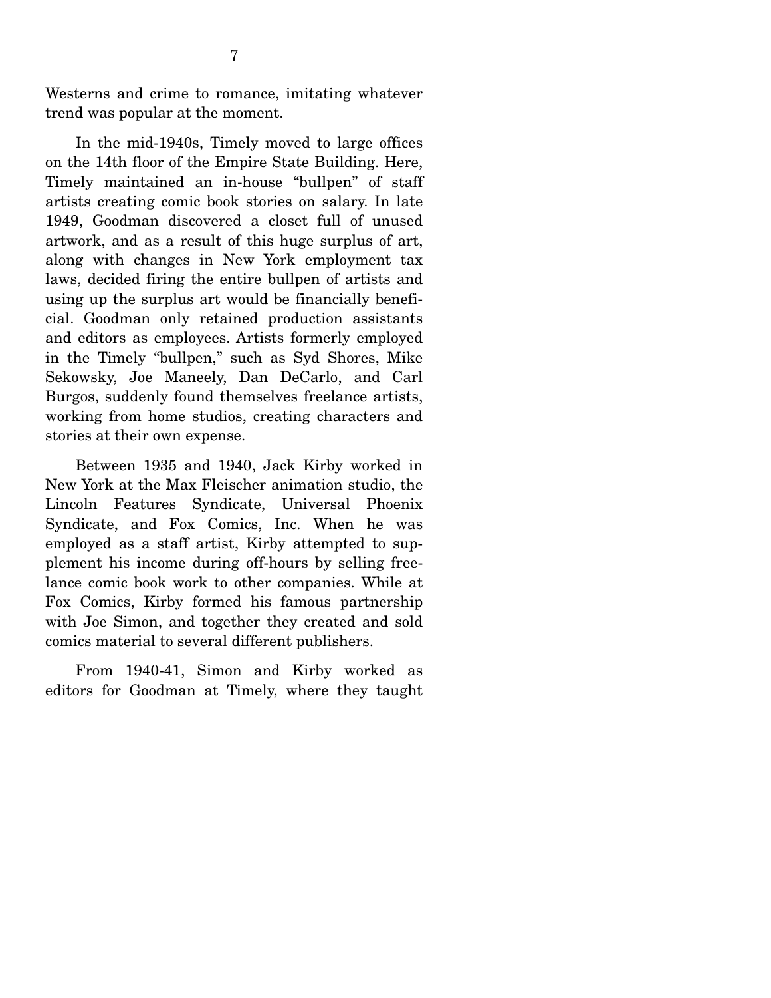Westerns and crime to romance, imitating whatever trend was popular at the moment.

 In the mid-1940s, Timely moved to large offices on the 14th floor of the Empire State Building. Here, Timely maintained an in-house "bullpen" of staff artists creating comic book stories on salary. In late 1949, Goodman discovered a closet full of unused artwork, and as a result of this huge surplus of art, along with changes in New York employment tax laws, decided firing the entire bullpen of artists and using up the surplus art would be financially beneficial. Goodman only retained production assistants and editors as employees. Artists formerly employed in the Timely "bullpen," such as Syd Shores, Mike Sekowsky, Joe Maneely, Dan DeCarlo, and Carl Burgos, suddenly found themselves freelance artists, working from home studios, creating characters and stories at their own expense.

 Between 1935 and 1940, Jack Kirby worked in New York at the Max Fleischer animation studio, the Lincoln Features Syndicate, Universal Phoenix Syndicate, and Fox Comics, Inc. When he was employed as a staff artist, Kirby attempted to supplement his income during off-hours by selling freelance comic book work to other companies. While at Fox Comics, Kirby formed his famous partnership with Joe Simon, and together they created and sold comics material to several different publishers.

 From 1940-41, Simon and Kirby worked as editors for Goodman at Timely, where they taught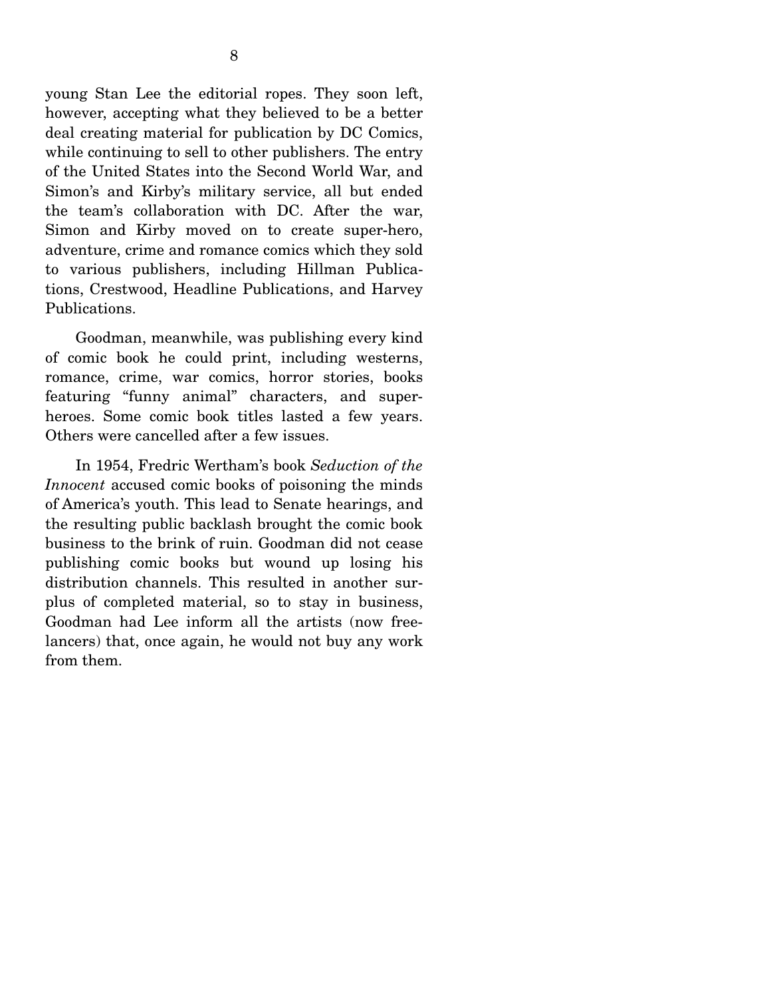young Stan Lee the editorial ropes. They soon left, however, accepting what they believed to be a better deal creating material for publication by DC Comics, while continuing to sell to other publishers. The entry of the United States into the Second World War, and Simon's and Kirby's military service, all but ended the team's collaboration with DC. After the war, Simon and Kirby moved on to create super-hero, adventure, crime and romance comics which they sold to various publishers, including Hillman Publications, Crestwood, Headline Publications, and Harvey Publications.

 Goodman, meanwhile, was publishing every kind of comic book he could print, including westerns, romance, crime, war comics, horror stories, books featuring "funny animal" characters, and superheroes. Some comic book titles lasted a few years. Others were cancelled after a few issues.

 In 1954, Fredric Wertham's book *Seduction of the Innocent* accused comic books of poisoning the minds of America's youth. This lead to Senate hearings, and the resulting public backlash brought the comic book business to the brink of ruin. Goodman did not cease publishing comic books but wound up losing his distribution channels. This resulted in another surplus of completed material, so to stay in business, Goodman had Lee inform all the artists (now freelancers) that, once again, he would not buy any work from them.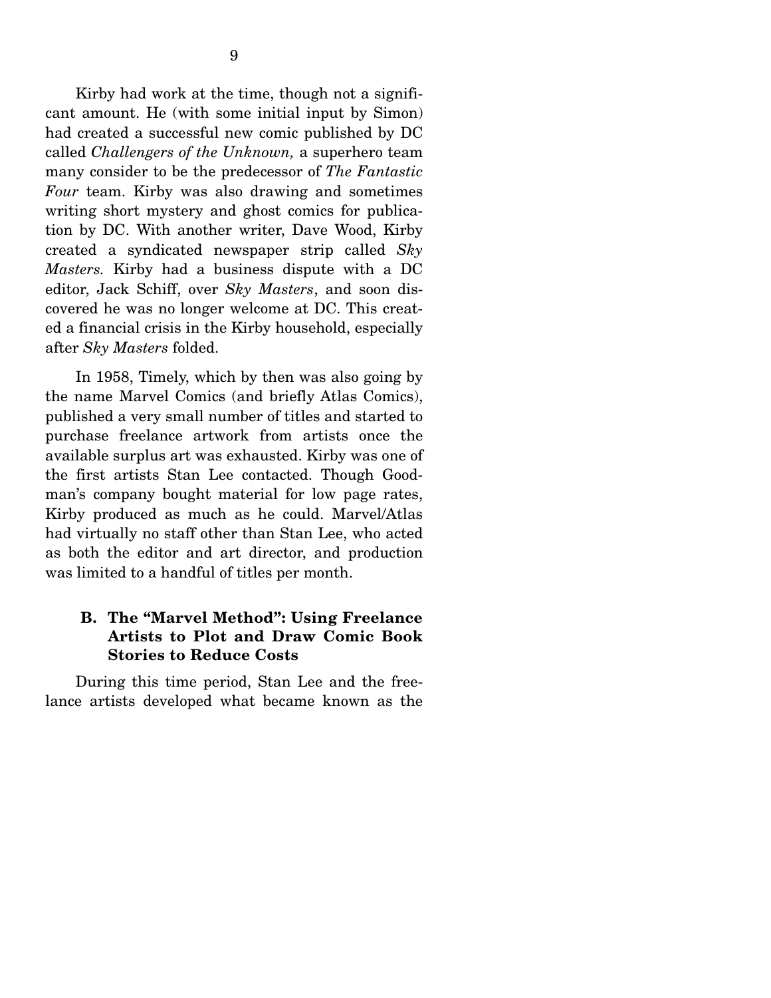Kirby had work at the time, though not a significant amount. He (with some initial input by Simon) had created a successful new comic published by DC called *Challengers of the Unknown,* a superhero team many consider to be the predecessor of *The Fantastic Four* team. Kirby was also drawing and sometimes writing short mystery and ghost comics for publication by DC. With another writer, Dave Wood, Kirby created a syndicated newspaper strip called *Sky Masters.* Kirby had a business dispute with a DC editor, Jack Schiff, over *Sky Masters*, and soon discovered he was no longer welcome at DC. This created a financial crisis in the Kirby household, especially after *Sky Masters* folded.

 In 1958, Timely, which by then was also going by the name Marvel Comics (and briefly Atlas Comics), published a very small number of titles and started to purchase freelance artwork from artists once the available surplus art was exhausted. Kirby was one of the first artists Stan Lee contacted. Though Goodman's company bought material for low page rates, Kirby produced as much as he could. Marvel/Atlas had virtually no staff other than Stan Lee, who acted as both the editor and art director, and production was limited to a handful of titles per month.

### **B. The "Marvel Method": Using Freelance Artists to Plot and Draw Comic Book Stories to Reduce Costs**

 During this time period, Stan Lee and the freelance artists developed what became known as the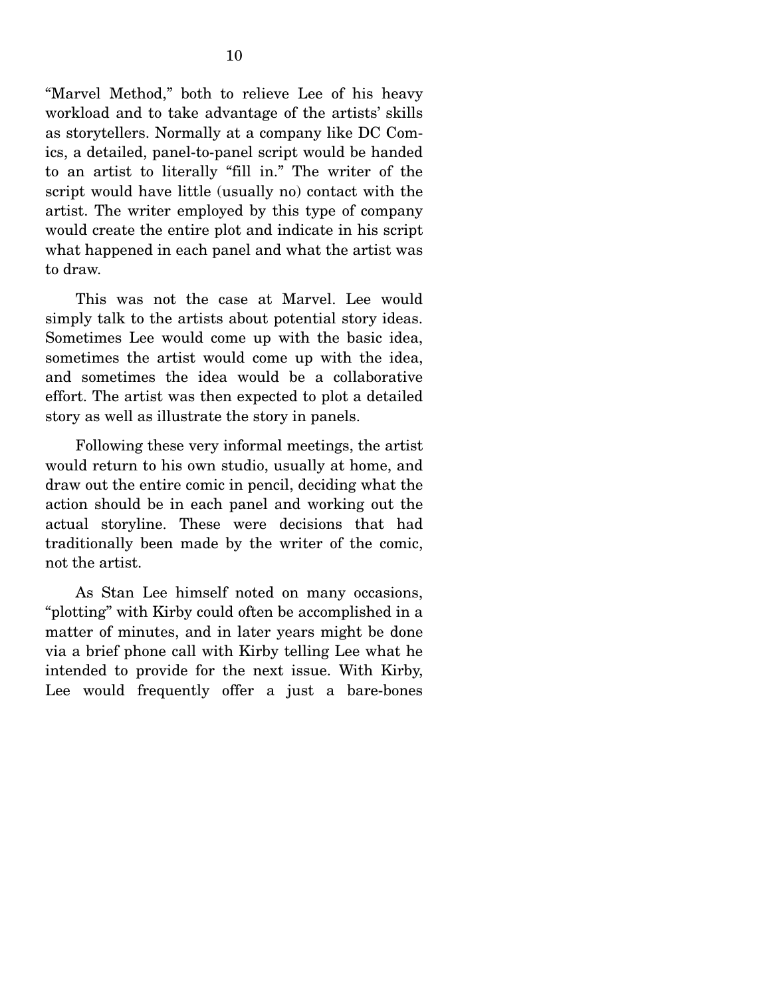"Marvel Method," both to relieve Lee of his heavy workload and to take advantage of the artists' skills as storytellers. Normally at a company like DC Comics, a detailed, panel-to-panel script would be handed to an artist to literally "fill in." The writer of the script would have little (usually no) contact with the artist. The writer employed by this type of company would create the entire plot and indicate in his script what happened in each panel and what the artist was to draw.

 This was not the case at Marvel. Lee would simply talk to the artists about potential story ideas. Sometimes Lee would come up with the basic idea, sometimes the artist would come up with the idea, and sometimes the idea would be a collaborative effort. The artist was then expected to plot a detailed story as well as illustrate the story in panels.

 Following these very informal meetings, the artist would return to his own studio, usually at home, and draw out the entire comic in pencil, deciding what the action should be in each panel and working out the actual storyline. These were decisions that had traditionally been made by the writer of the comic, not the artist.

 As Stan Lee himself noted on many occasions, "plotting" with Kirby could often be accomplished in a matter of minutes, and in later years might be done via a brief phone call with Kirby telling Lee what he intended to provide for the next issue. With Kirby, Lee would frequently offer a just a bare-bones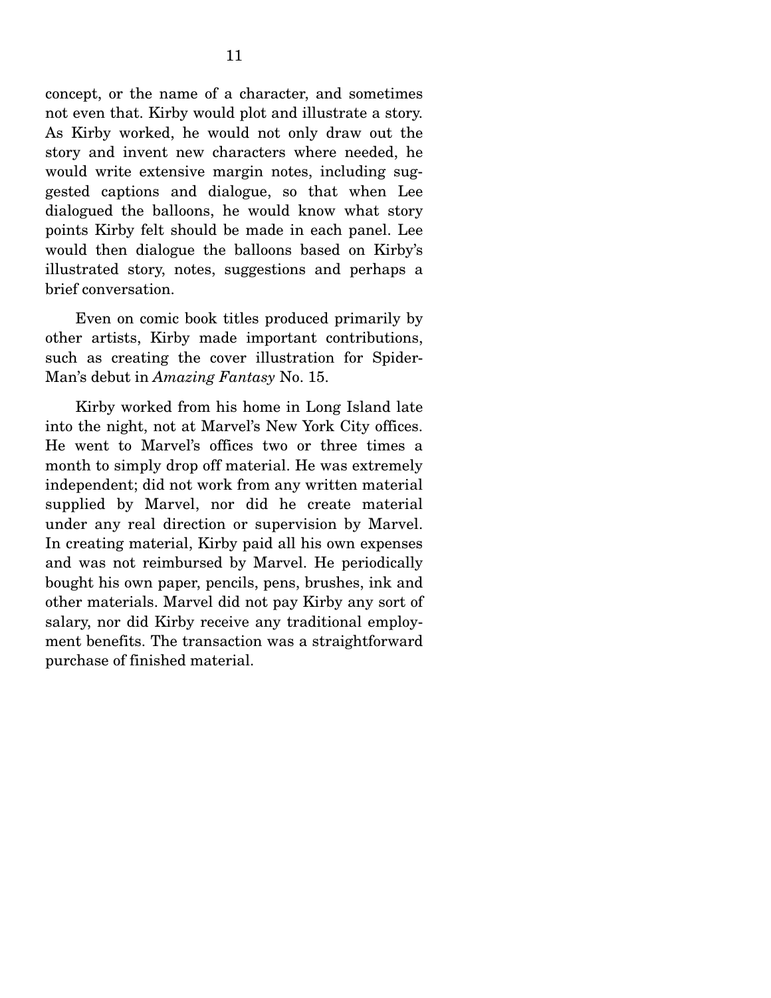concept, or the name of a character, and sometimes not even that. Kirby would plot and illustrate a story. As Kirby worked, he would not only draw out the story and invent new characters where needed, he would write extensive margin notes, including suggested captions and dialogue, so that when Lee dialogued the balloons, he would know what story points Kirby felt should be made in each panel. Lee would then dialogue the balloons based on Kirby's illustrated story, notes, suggestions and perhaps a brief conversation.

 Even on comic book titles produced primarily by other artists, Kirby made important contributions, such as creating the cover illustration for Spider-Man's debut in *Amazing Fantasy* No. 15.

 Kirby worked from his home in Long Island late into the night, not at Marvel's New York City offices. He went to Marvel's offices two or three times a month to simply drop off material. He was extremely independent; did not work from any written material supplied by Marvel, nor did he create material under any real direction or supervision by Marvel. In creating material, Kirby paid all his own expenses and was not reimbursed by Marvel. He periodically bought his own paper, pencils, pens, brushes, ink and other materials. Marvel did not pay Kirby any sort of salary, nor did Kirby receive any traditional employment benefits. The transaction was a straightforward purchase of finished material.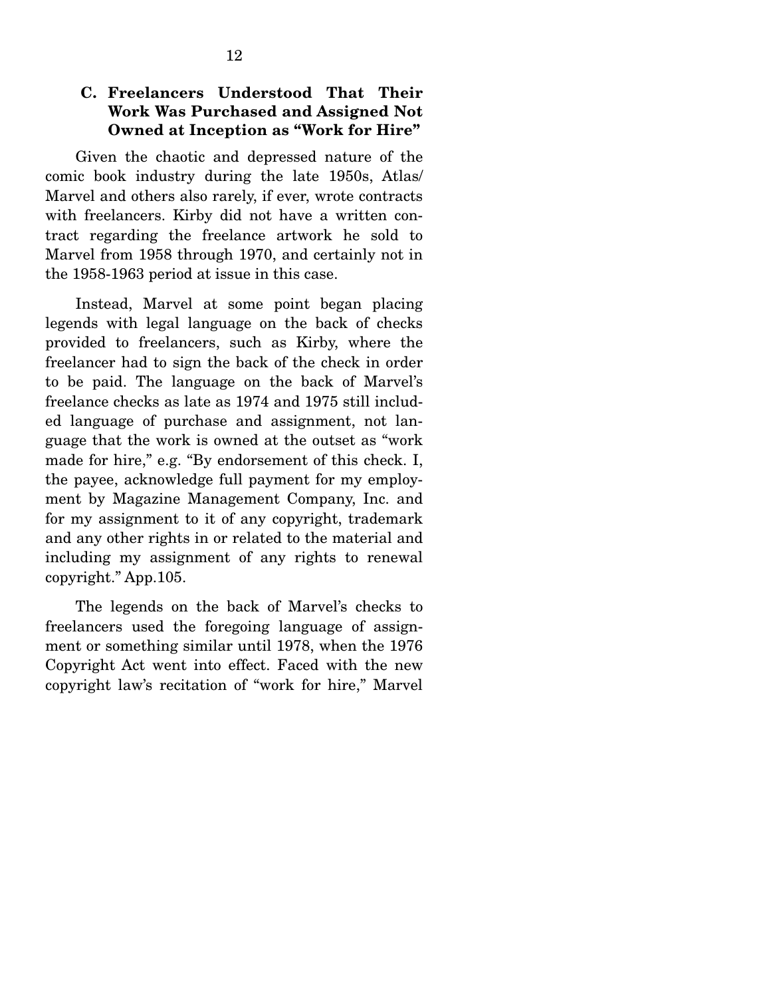### **C. Freelancers Understood That Their Work Was Purchased and Assigned Not Owned at Inception as "Work for Hire"**

 Given the chaotic and depressed nature of the comic book industry during the late 1950s, Atlas/ Marvel and others also rarely, if ever, wrote contracts with freelancers. Kirby did not have a written contract regarding the freelance artwork he sold to Marvel from 1958 through 1970, and certainly not in the 1958-1963 period at issue in this case.

 Instead, Marvel at some point began placing legends with legal language on the back of checks provided to freelancers, such as Kirby, where the freelancer had to sign the back of the check in order to be paid. The language on the back of Marvel's freelance checks as late as 1974 and 1975 still included language of purchase and assignment, not language that the work is owned at the outset as "work made for hire," e.g. "By endorsement of this check. I, the payee, acknowledge full payment for my employment by Magazine Management Company, Inc. and for my assignment to it of any copyright, trademark and any other rights in or related to the material and including my assignment of any rights to renewal copyright." App.105.

 The legends on the back of Marvel's checks to freelancers used the foregoing language of assignment or something similar until 1978, when the 1976 Copyright Act went into effect. Faced with the new copyright law's recitation of "work for hire," Marvel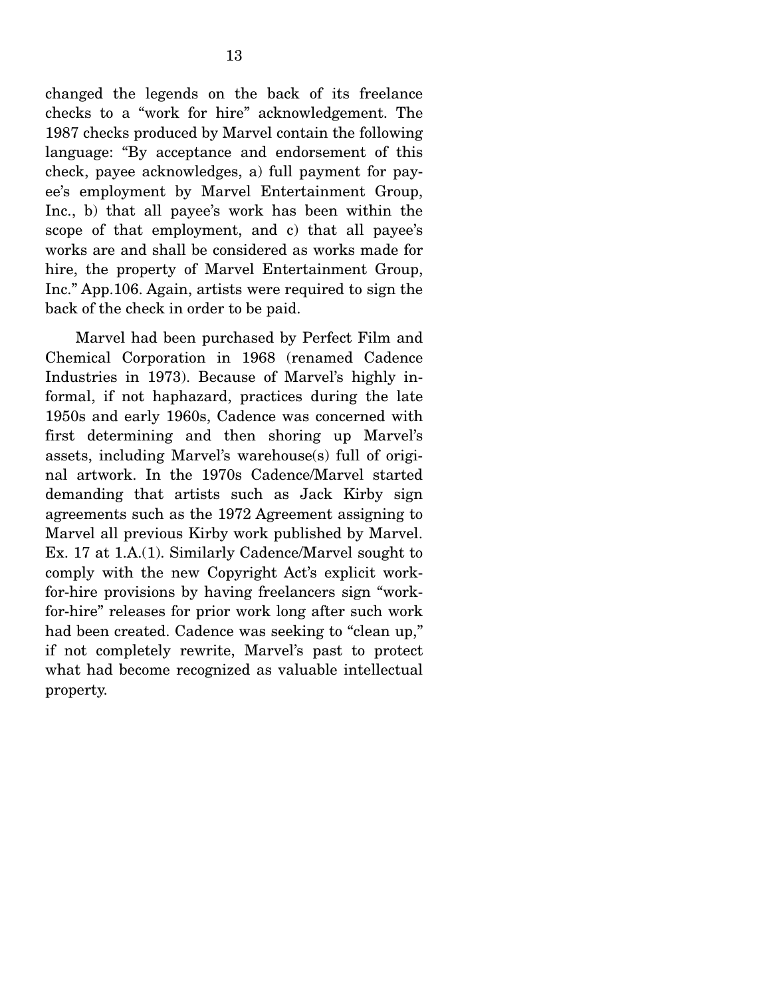changed the legends on the back of its freelance checks to a "work for hire" acknowledgement. The 1987 checks produced by Marvel contain the following language: "By acceptance and endorsement of this check, payee acknowledges, a) full payment for payee's employment by Marvel Entertainment Group, Inc., b) that all payee's work has been within the scope of that employment, and c) that all payee's works are and shall be considered as works made for hire, the property of Marvel Entertainment Group, Inc." App.106. Again, artists were required to sign the back of the check in order to be paid.

 Marvel had been purchased by Perfect Film and Chemical Corporation in 1968 (renamed Cadence Industries in 1973). Because of Marvel's highly informal, if not haphazard, practices during the late 1950s and early 1960s, Cadence was concerned with first determining and then shoring up Marvel's assets, including Marvel's warehouse(s) full of original artwork. In the 1970s Cadence/Marvel started demanding that artists such as Jack Kirby sign agreements such as the 1972 Agreement assigning to Marvel all previous Kirby work published by Marvel. Ex. 17 at 1.A.(1). Similarly Cadence/Marvel sought to comply with the new Copyright Act's explicit workfor-hire provisions by having freelancers sign "workfor-hire" releases for prior work long after such work had been created. Cadence was seeking to "clean up," if not completely rewrite, Marvel's past to protect what had become recognized as valuable intellectual property.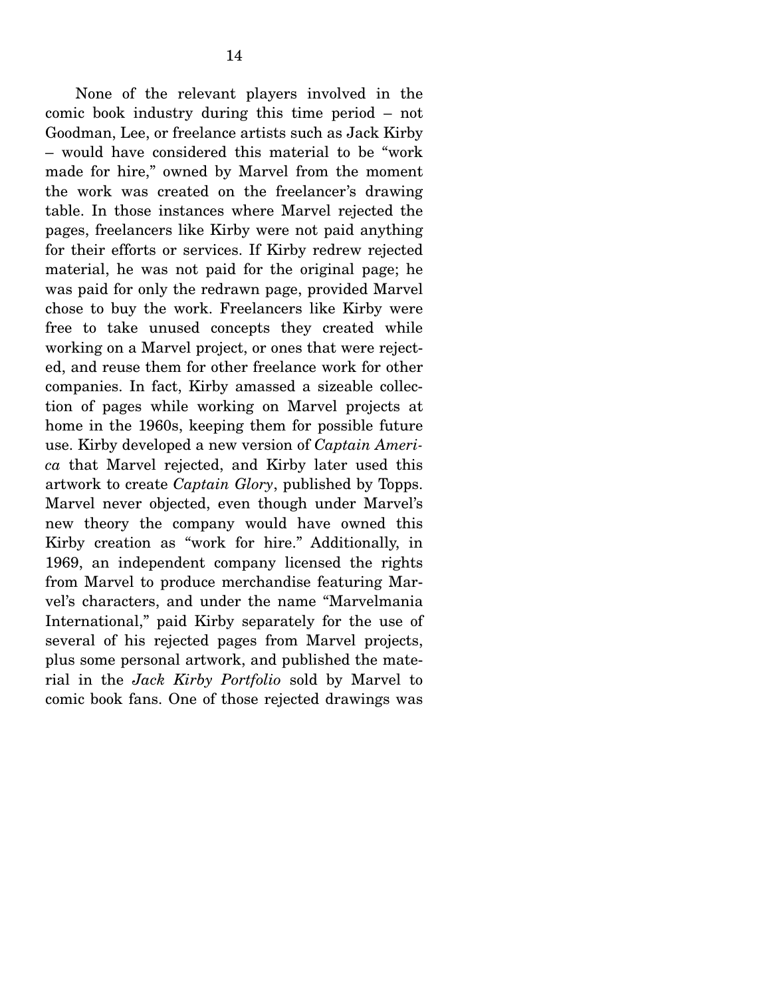None of the relevant players involved in the comic book industry during this time period – not Goodman, Lee, or freelance artists such as Jack Kirby – would have considered this material to be "work made for hire," owned by Marvel from the moment the work was created on the freelancer's drawing table. In those instances where Marvel rejected the pages, freelancers like Kirby were not paid anything for their efforts or services. If Kirby redrew rejected material, he was not paid for the original page; he was paid for only the redrawn page, provided Marvel chose to buy the work. Freelancers like Kirby were free to take unused concepts they created while working on a Marvel project, or ones that were rejected, and reuse them for other freelance work for other companies. In fact, Kirby amassed a sizeable collection of pages while working on Marvel projects at home in the 1960s, keeping them for possible future use. Kirby developed a new version of *Captain America* that Marvel rejected, and Kirby later used this artwork to create *Captain Glory*, published by Topps. Marvel never objected, even though under Marvel's new theory the company would have owned this Kirby creation as "work for hire." Additionally, in 1969, an independent company licensed the rights from Marvel to produce merchandise featuring Marvel's characters, and under the name "Marvelmania International," paid Kirby separately for the use of several of his rejected pages from Marvel projects, plus some personal artwork, and published the material in the *Jack Kirby Portfolio* sold by Marvel to comic book fans. One of those rejected drawings was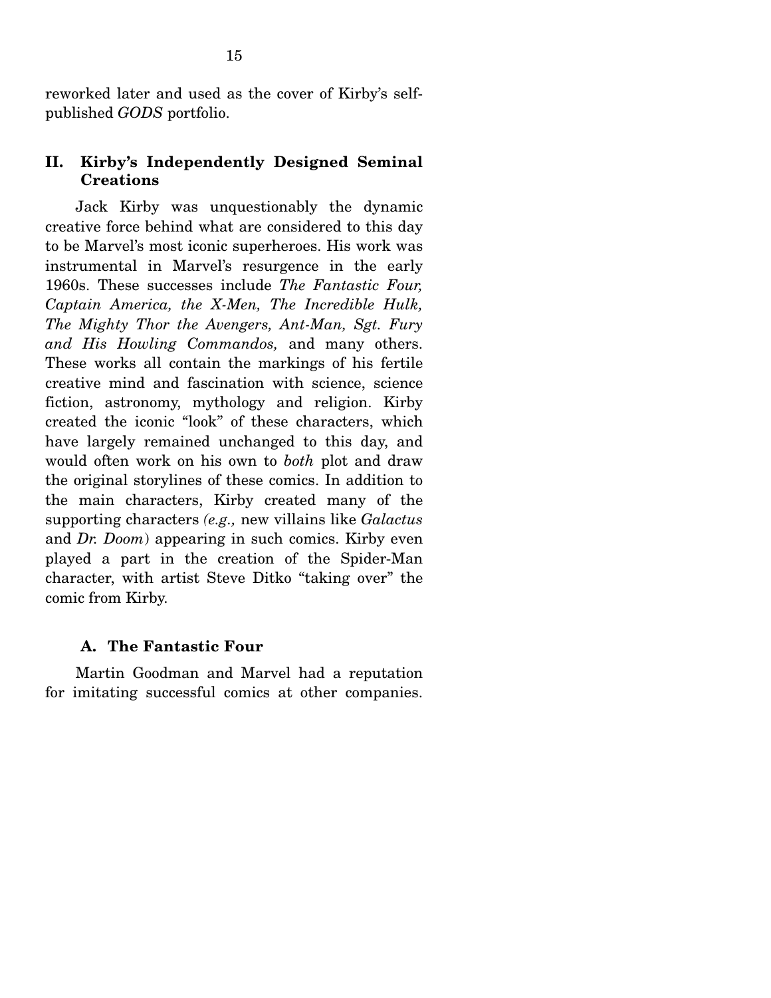reworked later and used as the cover of Kirby's selfpublished *GODS* portfolio.

#### **II. Kirby's Independently Designed Seminal Creations**

 Jack Kirby was unquestionably the dynamic creative force behind what are considered to this day to be Marvel's most iconic superheroes. His work was instrumental in Marvel's resurgence in the early 1960s. These successes include *The Fantastic Four, Captain America, the X-Men, The Incredible Hulk, The Mighty Thor the Avengers, Ant-Man, Sgt. Fury and His Howling Commandos,* and many others. These works all contain the markings of his fertile creative mind and fascination with science, science fiction, astronomy, mythology and religion. Kirby created the iconic "look" of these characters, which have largely remained unchanged to this day, and would often work on his own to *both* plot and draw the original storylines of these comics. In addition to the main characters, Kirby created many of the supporting characters *(e.g.,* new villains like *Galactus* and *Dr. Doom*) appearing in such comics. Kirby even played a part in the creation of the Spider-Man character, with artist Steve Ditko "taking over" the comic from Kirby.

#### **A. The Fantastic Four**

 Martin Goodman and Marvel had a reputation for imitating successful comics at other companies.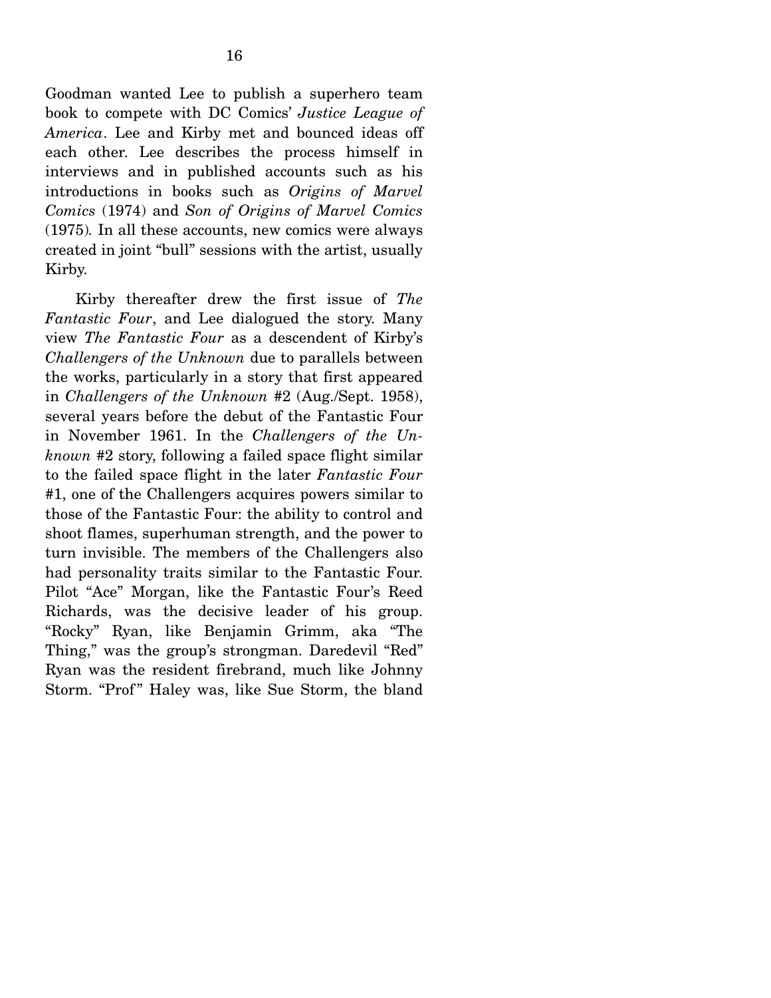Goodman wanted Lee to publish a superhero team book to compete with DC Comics' *Justice League of America*. Lee and Kirby met and bounced ideas off each other. Lee describes the process himself in interviews and in published accounts such as his introductions in books such as *Origins of Marvel Comics* (1974) and *Son of Origins of Marvel Comics*  (1975)*.* In all these accounts, new comics were always created in joint "bull" sessions with the artist, usually Kirby.

 Kirby thereafter drew the first issue of *The Fantastic Four*, and Lee dialogued the story. Many view *The Fantastic Four* as a descendent of Kirby's *Challengers of the Unknown* due to parallels between the works, particularly in a story that first appeared in *Challengers of the Unknown* #2 (Aug./Sept. 1958), several years before the debut of the Fantastic Four in November 1961. In the *Challengers of the Unknown* #2 story, following a failed space flight similar to the failed space flight in the later *Fantastic Four* #1, one of the Challengers acquires powers similar to those of the Fantastic Four: the ability to control and shoot flames, superhuman strength, and the power to turn invisible. The members of the Challengers also had personality traits similar to the Fantastic Four. Pilot "Ace" Morgan, like the Fantastic Four's Reed Richards, was the decisive leader of his group. "Rocky" Ryan, like Benjamin Grimm, aka "The Thing," was the group's strongman. Daredevil "Red" Ryan was the resident firebrand, much like Johnny Storm. "Prof" Haley was, like Sue Storm, the bland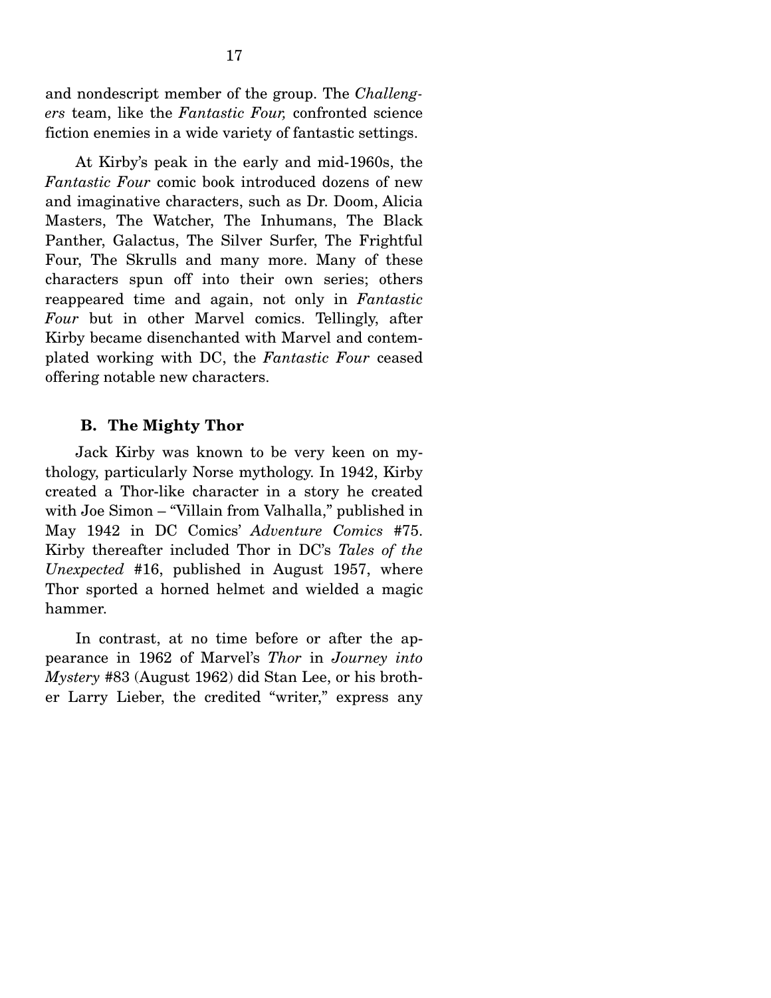and nondescript member of the group. The *Challengers* team, like the *Fantastic Four,* confronted science fiction enemies in a wide variety of fantastic settings.

 At Kirby's peak in the early and mid-1960s, the *Fantastic Four* comic book introduced dozens of new and imaginative characters, such as Dr. Doom, Alicia Masters, The Watcher, The Inhumans, The Black Panther, Galactus, The Silver Surfer, The Frightful Four, The Skrulls and many more. Many of these characters spun off into their own series; others reappeared time and again, not only in *Fantastic Four* but in other Marvel comics. Tellingly, after Kirby became disenchanted with Marvel and contemplated working with DC, the *Fantastic Four* ceased offering notable new characters.

#### **B. The Mighty Thor**

 Jack Kirby was known to be very keen on mythology, particularly Norse mythology. In 1942, Kirby created a Thor-like character in a story he created with Joe Simon – "Villain from Valhalla," published in May 1942 in DC Comics' *Adventure Comics* #75. Kirby thereafter included Thor in DC's *Tales of the Unexpected* #16, published in August 1957, where Thor sported a horned helmet and wielded a magic hammer.

 In contrast, at no time before or after the appearance in 1962 of Marvel's *Thor* in *Journey into Mystery* #83 (August 1962) did Stan Lee, or his brother Larry Lieber, the credited "writer," express any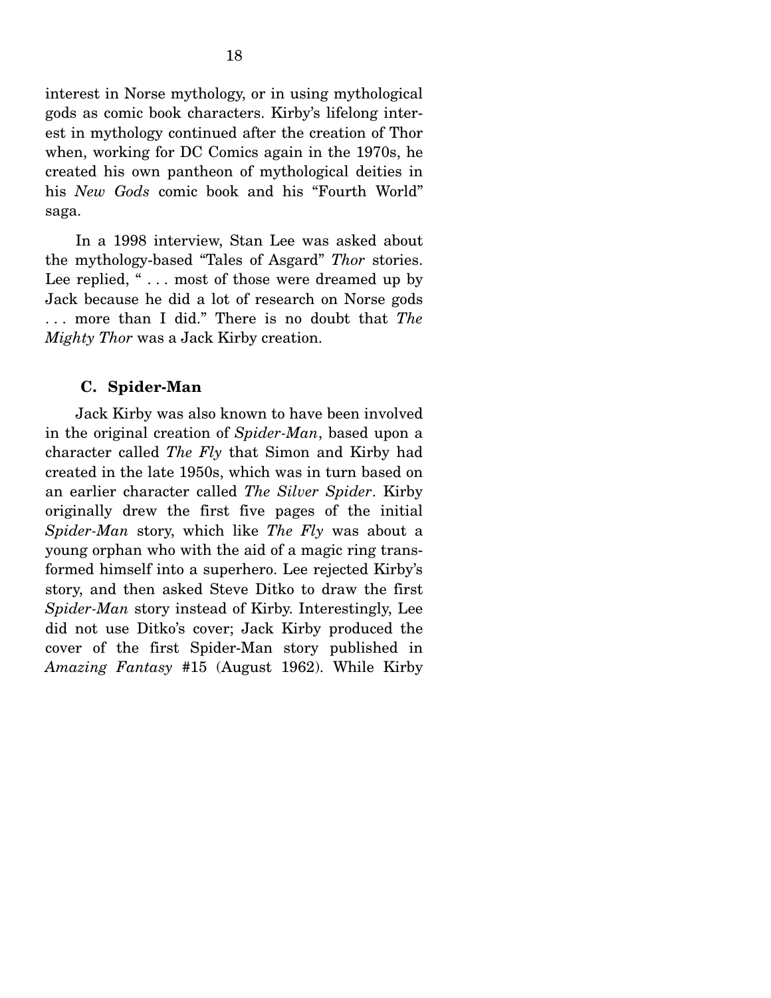interest in Norse mythology, or in using mythological gods as comic book characters. Kirby's lifelong interest in mythology continued after the creation of Thor when, working for DC Comics again in the 1970s, he created his own pantheon of mythological deities in his *New Gods* comic book and his "Fourth World" saga.

 In a 1998 interview, Stan Lee was asked about the mythology-based "Tales of Asgard" *Thor* stories. Lee replied, "... most of those were dreamed up by Jack because he did a lot of research on Norse gods . . . more than I did." There is no doubt that *The Mighty Thor* was a Jack Kirby creation.

#### **C. Spider-Man**

 Jack Kirby was also known to have been involved in the original creation of *Spider-Man*, based upon a character called *The Fly* that Simon and Kirby had created in the late 1950s, which was in turn based on an earlier character called *The Silver Spider*. Kirby originally drew the first five pages of the initial *Spider-Man* story, which like *The Fly* was about a young orphan who with the aid of a magic ring transformed himself into a superhero. Lee rejected Kirby's story, and then asked Steve Ditko to draw the first *Spider-Man* story instead of Kirby. Interestingly, Lee did not use Ditko's cover; Jack Kirby produced the cover of the first Spider-Man story published in *Amazing Fantasy* #15 (August 1962). While Kirby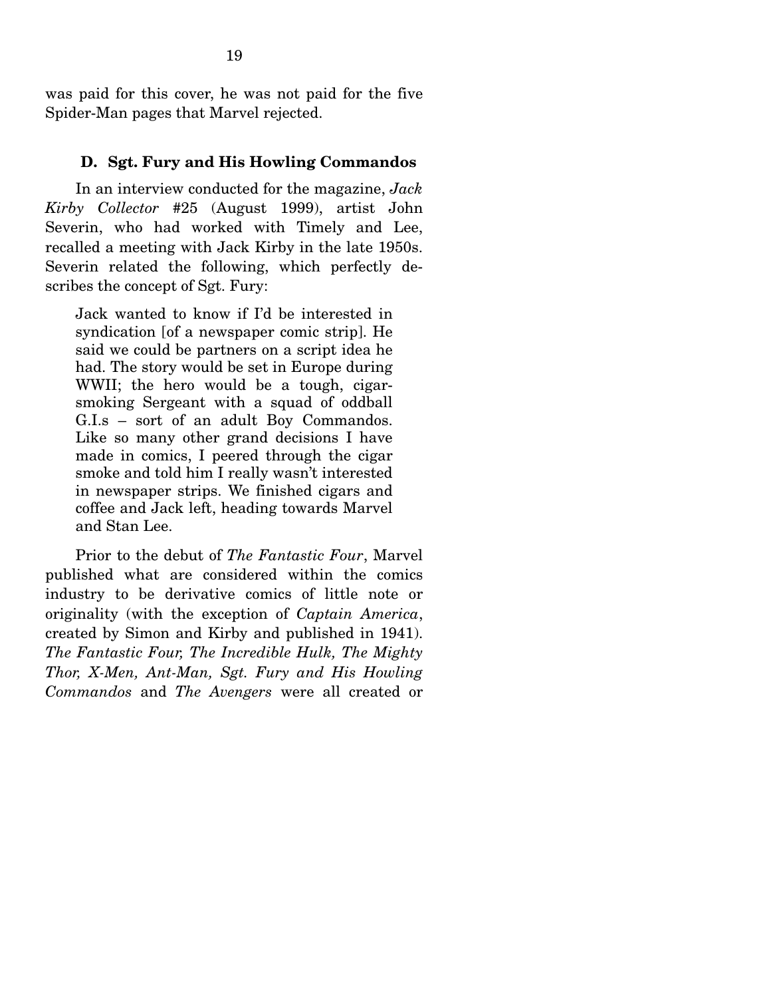was paid for this cover, he was not paid for the five Spider-Man pages that Marvel rejected.

#### **D. Sgt. Fury and His Howling Commandos**

 In an interview conducted for the magazine, *Jack Kirby Collector* #25 (August 1999), artist John Severin, who had worked with Timely and Lee, recalled a meeting with Jack Kirby in the late 1950s. Severin related the following, which perfectly describes the concept of Sgt. Fury:

Jack wanted to know if I'd be interested in syndication [of a newspaper comic strip]. He said we could be partners on a script idea he had. The story would be set in Europe during WWII; the hero would be a tough, cigarsmoking Sergeant with a squad of oddball G.I.s – sort of an adult Boy Commandos. Like so many other grand decisions I have made in comics, I peered through the cigar smoke and told him I really wasn't interested in newspaper strips. We finished cigars and coffee and Jack left, heading towards Marvel and Stan Lee.

 Prior to the debut of *The Fantastic Four*, Marvel published what are considered within the comics industry to be derivative comics of little note or originality (with the exception of *Captain America*, created by Simon and Kirby and published in 1941). *The Fantastic Four, The Incredible Hulk, The Mighty Thor, X-Men, Ant-Man, Sgt. Fury and His Howling Commandos* and *The Avengers* were all created or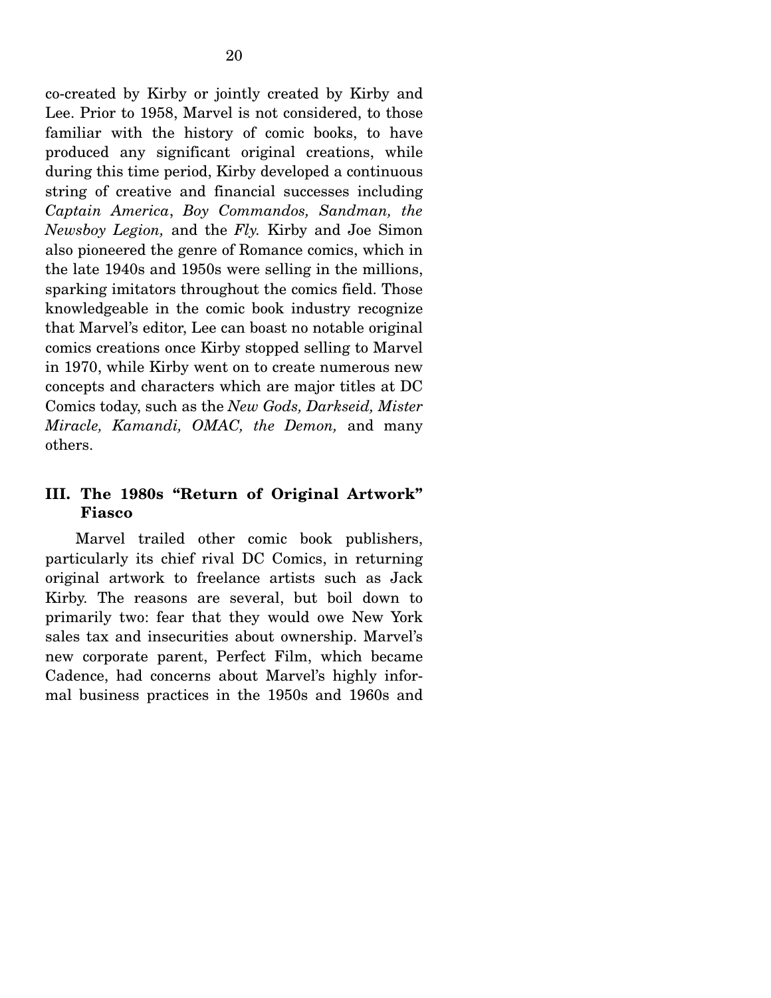co-created by Kirby or jointly created by Kirby and Lee. Prior to 1958, Marvel is not considered, to those familiar with the history of comic books, to have produced any significant original creations, while during this time period, Kirby developed a continuous string of creative and financial successes including *Captain America*, *Boy Commandos, Sandman, the Newsboy Legion,* and the *Fly.* Kirby and Joe Simon also pioneered the genre of Romance comics, which in the late 1940s and 1950s were selling in the millions, sparking imitators throughout the comics field. Those knowledgeable in the comic book industry recognize that Marvel's editor, Lee can boast no notable original comics creations once Kirby stopped selling to Marvel in 1970, while Kirby went on to create numerous new concepts and characters which are major titles at DC Comics today, such as the *New Gods, Darkseid, Mister Miracle, Kamandi, OMAC, the Demon,* and many others.

### **III. The 1980s "Return of Original Artwork" Fiasco**

 Marvel trailed other comic book publishers, particularly its chief rival DC Comics, in returning original artwork to freelance artists such as Jack Kirby. The reasons are several, but boil down to primarily two: fear that they would owe New York sales tax and insecurities about ownership. Marvel's new corporate parent, Perfect Film, which became Cadence, had concerns about Marvel's highly informal business practices in the 1950s and 1960s and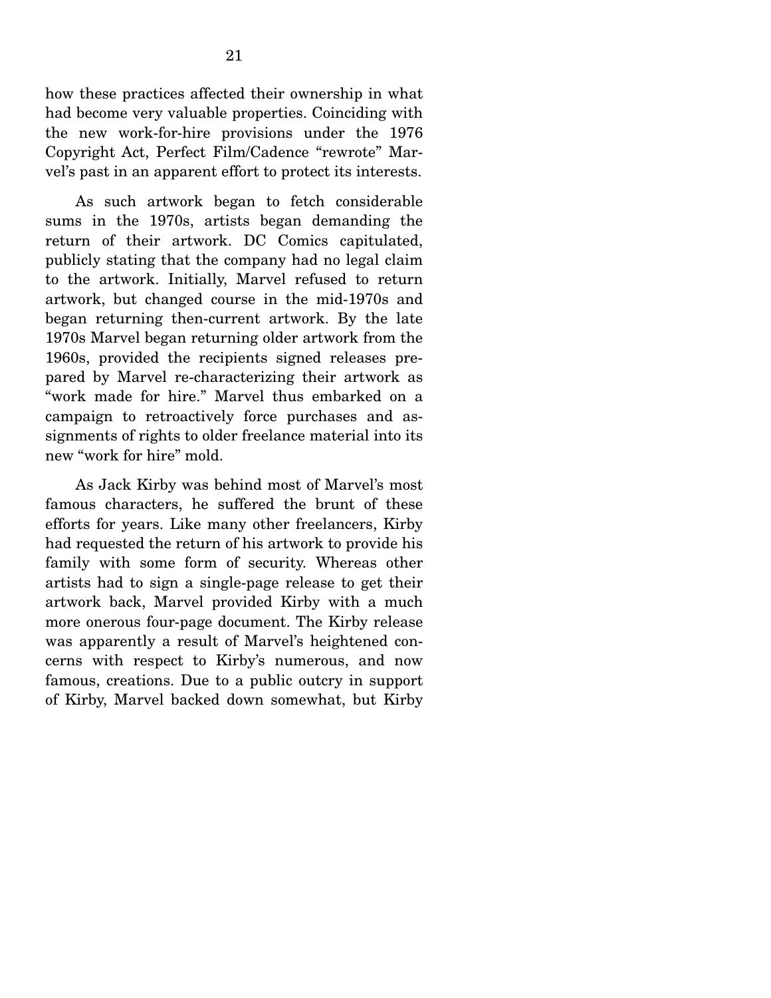how these practices affected their ownership in what had become very valuable properties. Coinciding with the new work-for-hire provisions under the 1976 Copyright Act, Perfect Film/Cadence "rewrote" Marvel's past in an apparent effort to protect its interests.

 As such artwork began to fetch considerable sums in the 1970s, artists began demanding the return of their artwork. DC Comics capitulated, publicly stating that the company had no legal claim to the artwork. Initially, Marvel refused to return artwork, but changed course in the mid-1970s and began returning then-current artwork. By the late 1970s Marvel began returning older artwork from the 1960s, provided the recipients signed releases prepared by Marvel re-characterizing their artwork as "work made for hire." Marvel thus embarked on a campaign to retroactively force purchases and assignments of rights to older freelance material into its new "work for hire" mold.

 As Jack Kirby was behind most of Marvel's most famous characters, he suffered the brunt of these efforts for years. Like many other freelancers, Kirby had requested the return of his artwork to provide his family with some form of security. Whereas other artists had to sign a single-page release to get their artwork back, Marvel provided Kirby with a much more onerous four-page document. The Kirby release was apparently a result of Marvel's heightened concerns with respect to Kirby's numerous, and now famous, creations. Due to a public outcry in support of Kirby, Marvel backed down somewhat, but Kirby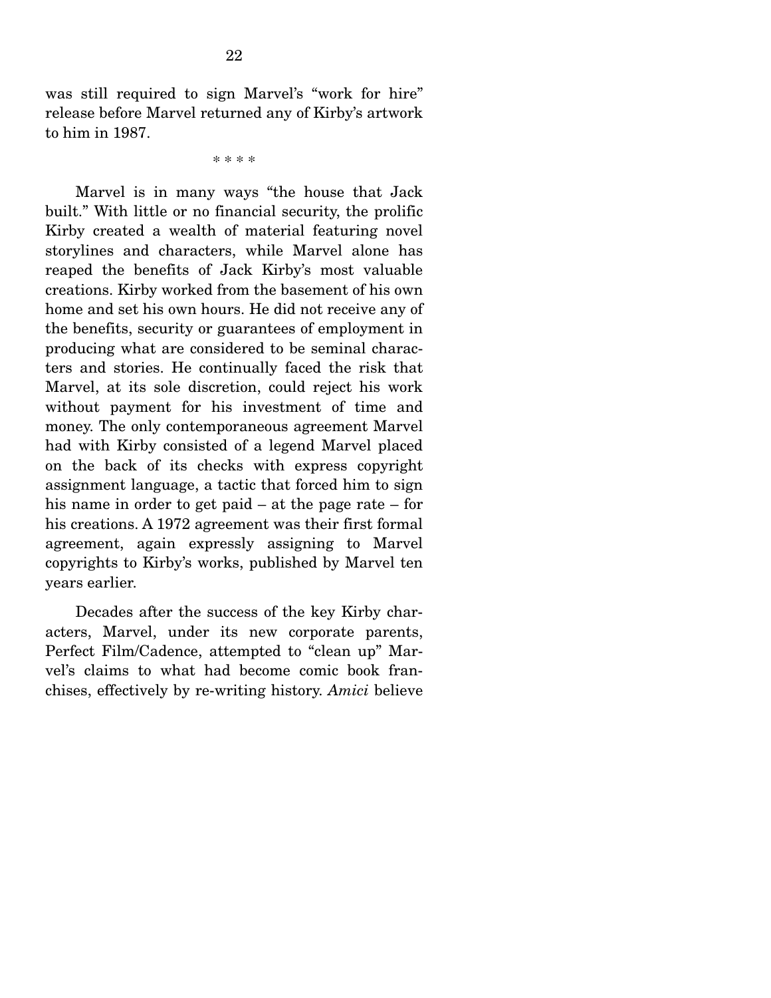was still required to sign Marvel's "work for hire" release before Marvel returned any of Kirby's artwork to him in 1987.

\* \* \* \*

 Marvel is in many ways "the house that Jack built." With little or no financial security, the prolific Kirby created a wealth of material featuring novel storylines and characters, while Marvel alone has reaped the benefits of Jack Kirby's most valuable creations. Kirby worked from the basement of his own home and set his own hours. He did not receive any of the benefits, security or guarantees of employment in producing what are considered to be seminal characters and stories. He continually faced the risk that Marvel, at its sole discretion, could reject his work without payment for his investment of time and money. The only contemporaneous agreement Marvel had with Kirby consisted of a legend Marvel placed on the back of its checks with express copyright assignment language, a tactic that forced him to sign his name in order to get paid – at the page rate – for his creations. A 1972 agreement was their first formal agreement, again expressly assigning to Marvel copyrights to Kirby's works, published by Marvel ten years earlier.

 Decades after the success of the key Kirby characters, Marvel, under its new corporate parents, Perfect Film/Cadence, attempted to "clean up" Marvel's claims to what had become comic book franchises, effectively by re-writing history. *Amici* believe